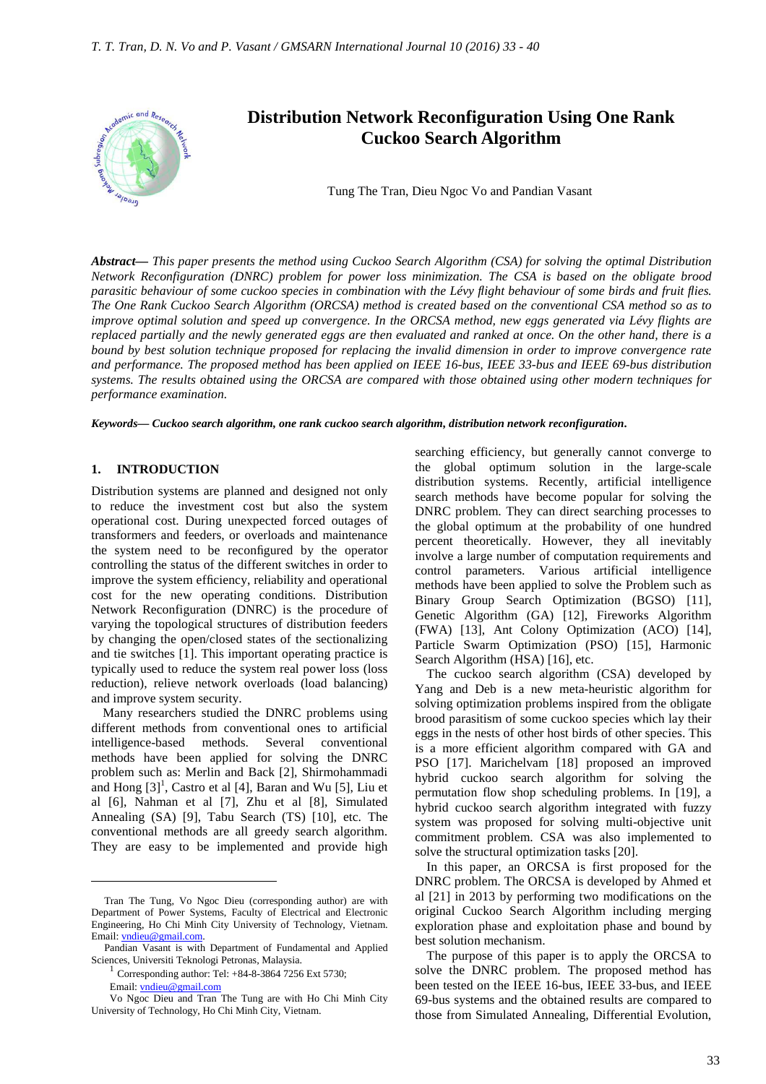

*Abstract***—** *This paper presents the method using Cuckoo Search Algorithm (CSA) for solving the optimal Distribution Network Reconfiguration (DNRC) problem for power loss minimization. The CSA is based on the obligate brood parasitic behaviour of some cuckoo species in combination with the Lévy flight behaviour of some birds and fruit flies. The One Rank Cuckoo Search Algorithm (ORCSA) method is created based on the conventional CSA method so as to improve optimal solution and speed up convergence. In the ORCSA method, new eggs generated via Lévy flights are replaced partially and the newly generated eggs are then evaluated and ranked at once. On the other hand, there is a bound by best solution technique proposed for replacing the invalid dimension in order to improve convergence rate and performance. The proposed method has been applied on IEEE 16-bus, IEEE 33-bus and IEEE 69-bus distribution systems. The results obtained using the ORCSA are compared with those obtained using other modern techniques for performance examination.*

*Keywords***—** *Cuckoo search algorithm, one rank cuckoo search algorithm, distribution network reconfiguration***.**

#### **1. INTRODUCTION**

Distribution systems are planned and designed not only to reduce the investment cost but also the system operational cost. During unexpected forced outages of transformers and feeders, or overloads and maintenance the system need to be reconfigured by the operator controlling the status of the different switches in order to improve the system efficiency, reliability and operational cost for the new operating conditions. Distribution Network Reconfiguration (DNRC) is the procedure of varying the topological structures of distribution feeders by changing the open/closed states of the sectionalizing and tie switches [1]. This important operating practice is typically used to reduce the system real power loss (loss reduction), relieve network overloads (load balancing) and improve system security.

Many researchers studied the DNRC problems using different methods from conventional ones to artificial intelligence-based methods. Several conventional methods have been applied for solving the DNRC problem such as: Merlin and Back [2], Shirmohammadi and Hong  $[3]$ <sup>1</sup>, Castro et al  $[4]$ , Baran and Wu  $[5]$ , Liu et al [6], Nahman et al [7], Zhu et al [8], Simulated Annealing (SA) [9], Tabu Search (TS) [10], etc. The conventional methods are all greedy search algorithm. They are easy to be implemented and provide high

 $\overline{a}$ 

searching efficiency, but generally cannot converge to the global optimum solution in the large-scale distribution systems. Recently, artificial intelligence search methods have become popular for solving the DNRC problem. They can direct searching processes to the global optimum at the probability of one hundred percent theoretically. However, they all inevitably involve a large number of computation requirements and control parameters. Various artificial intelligence methods have been applied to solve the Problem such as Binary Group Search Optimization (BGSO) [11], Genetic Algorithm (GA) [12], Fireworks Algorithm (FWA) [13], Ant Colony Optimization (ACO) [14], Particle Swarm Optimization (PSO) [15], Harmonic Search Algorithm (HSA) [16], etc.

The cuckoo search algorithm (CSA) developed by Yang and Deb is a new meta-heuristic algorithm for solving optimization problems inspired from the obligate brood parasitism of some cuckoo species which lay their eggs in the nests of other host birds of other species. This is a more efficient algorithm compared with GA and PSO [17]. Marichelvam [18] proposed an improved hybrid cuckoo search algorithm for solving the permutation flow shop scheduling problems. In [19], a hybrid cuckoo search algorithm integrated with fuzzy system was proposed for solving multi-objective unit commitment problem. CSA was also implemented to solve the structural optimization tasks [20].

In this paper, an ORCSA is first proposed for the DNRC problem. The ORCSA is developed by Ahmed et al [21] in 2013 by performing two modifications on the original Cuckoo Search Algorithm including merging exploration phase and exploitation phase and bound by best solution mechanism.

The purpose of this paper is to apply the ORCSA to solve the DNRC problem. The proposed method has been tested on the IEEE 16-bus, IEEE 33-bus, and IEEE 69-bus systems and the obtained results are compared to those from Simulated Annealing, Differential Evolution,

Tran The Tung, Vo Ngoc Dieu (corresponding author) are with Department of Power Systems, Faculty of Electrical and Electronic Engineering, Ho Chi Minh City University of Technology, Vietnam. Email: vndieu@gmail.com.

Pandian Vasant is with Department of Fundamental and Applied Sciences, Universiti Teknologi Petronas, Malaysia.

<sup>1</sup> Corresponding author: Tel: +84-8-3864 7256 Ext 5730;

Email: vndieu@gmail.com

Vo Ngoc Dieu and Tran The Tung are with Ho Chi Minh City University of Technology, Ho Chi Minh City, Vietnam.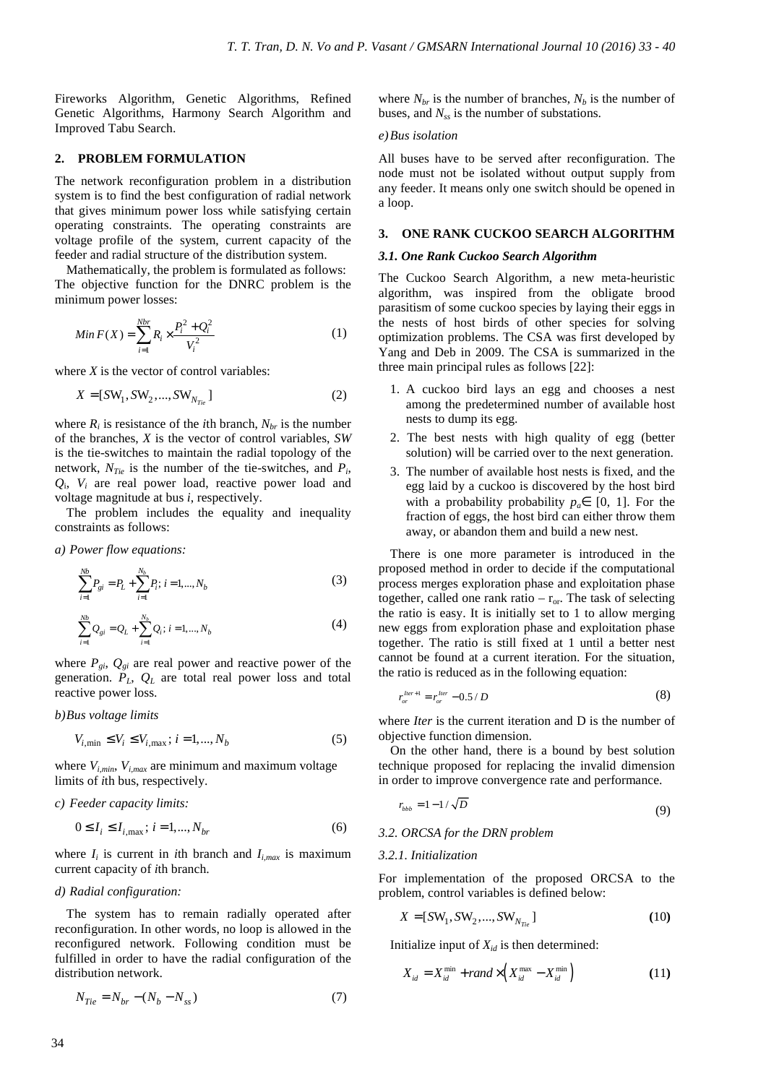Fireworks Algorithm, Genetic Algorithms, Refined Genetic Algorithms, Harmony Search Algorithm and Improved Tabu Search.

### **2. PROBLEM FORMULATION**

The network reconfiguration problem in a distribution system is to find the best configuration of radial network that gives minimum power loss while satisfying certain operating constraints. The operating constraints are voltage profile of the system, current capacity of the feeder and radial structure of the distribution system.

Mathematically, the problem is formulated as follows: The objective function for the DNRC problem is the minimum power losses:

$$
Min F(X) = \sum_{i=1}^{Nbr} R_i \times \frac{P_i^2 + Q_i^2}{V_i^2}
$$
 (1)

where  $X$  is the vector of control variables:

$$
X = [SW_1, SW_2, ..., SW_{N_{Tie}}]
$$
 (2)

where  $R_i$  is resistance of the *i*th branch,  $N_{br}$  is the number of the branches, *X* is the vector of control variables, *SW* is the tie-switches to maintain the radial topology of the network, *NTie* is the number of the tie-switches, and *P<sup>i</sup>* , *Q*i , *V<sup>i</sup>* are real power load, reactive power load and voltage magnitude at bus *i*, respectively.

The problem includes the equality and inequality constraints as follows:

*a) Power flow equations:* 

$$
\sum_{i=1}^{N_b} P_{gi} = P_L + \sum_{i=1}^{N_b} P_i; i = 1, ..., N_b
$$
\n(3)

$$
\sum_{i=1}^{Nb} Q_{gi} = Q_L + \sum_{i=1}^{N_b} Q_i; i = 1,...,N_b
$$
\n(4)

where  $P_{gi}$ ,  $Q_{gi}$  are real power and reactive power of the generation.  $P_L$ ,  $Q_L$  are total real power loss and total reactive power loss.

*b)Bus voltage limits* 

$$
V_{i, \min} \le V_i \le V_{i, \max}; i = 1, ..., N_b
$$
 (5)

where *Vi,min*, *Vi,max* are minimum and maximum voltage limits of *i*th bus, respectively.

*c) Feeder capacity limits:* 

$$
0 \le I_i \le I_{i, \max}; i = 1, ..., N_{br}
$$
 (6)

where  $I_i$  is current in *i*th branch and  $I_{i,max}$  is maximum current capacity of *i*th branch.

### *d) Radial configuration:*

The system has to remain radially operated after reconfiguration. In other words, no loop is allowed in the reconfigured network. Following condition must be fulfilled in order to have the radial configuration of the distribution network.

$$
N_{Tie} = N_{br} - (N_b - N_{ss})\tag{7}
$$

where  $N_{br}$  is the number of branches,  $N_b$  is the number of buses, and *Nss* is the number of substations.

#### *e)Bus isolation*

All buses have to be served after reconfiguration. The node must not be isolated without output supply from any feeder. It means only one switch should be opened in a loop.

### **3. ONE RANK CUCKOO SEARCH ALGORITHM**

#### *3.1. One Rank Cuckoo Search Algorithm*

The Cuckoo Search Algorithm, a new meta-heuristic algorithm, was inspired from the obligate brood parasitism of some cuckoo species by laying their eggs in the nests of host birds of other species for solving optimization problems. The CSA was first developed by Yang and Deb in 2009. The CSA is summarized in the three main principal rules as follows [22]:

- 1. A cuckoo bird lays an egg and chooses a nest among the predetermined number of available host nests to dump its egg.
- 2. The best nests with high quality of egg (better solution) will be carried over to the next generation.
- 3. The number of available host nests is fixed, and the egg laid by a cuckoo is discovered by the host bird with a probability probability  $p_a \in [0, 1]$ . For the fraction of eggs, the host bird can either throw them away, or abandon them and build a new nest.

There is one more parameter is introduced in the proposed method in order to decide if the computational process merges exploration phase and exploitation phase together, called one rank ratio –  $r_{or}$ . The task of selecting the ratio is easy. It is initially set to 1 to allow merging new eggs from exploration phase and exploitation phase together. The ratio is still fixed at 1 until a better nest cannot be found at a current iteration. For the situation, the ratio is reduced as in the following equation:

$$
r_{or}^{Iter+1} = r_{or}^{Iter} - 0.5/D
$$
 (8)

where *Iter* is the current iteration and D is the number of objective function dimension.

On the other hand, there is a bound by best solution technique proposed for replacing the invalid dimension in order to improve convergence rate and performance.

$$
r_{bbb} = 1 - 1/\sqrt{D} \tag{9}
$$

### *3.2. ORCSA for the DRN problem*

### *3.2.1. Initialization*

For implementation of the proposed ORCSA to the problem, control variables is defined below:

$$
X = [SW_1, SW_2, ..., SW_{N_{Tie}}]
$$
 (10)

Initialize input of  $X_{id}$  is then determined:

$$
X_{id} = X_{id}^{\min} + rand \times \left( X_{id}^{\max} - X_{id}^{\min} \right) \tag{11}
$$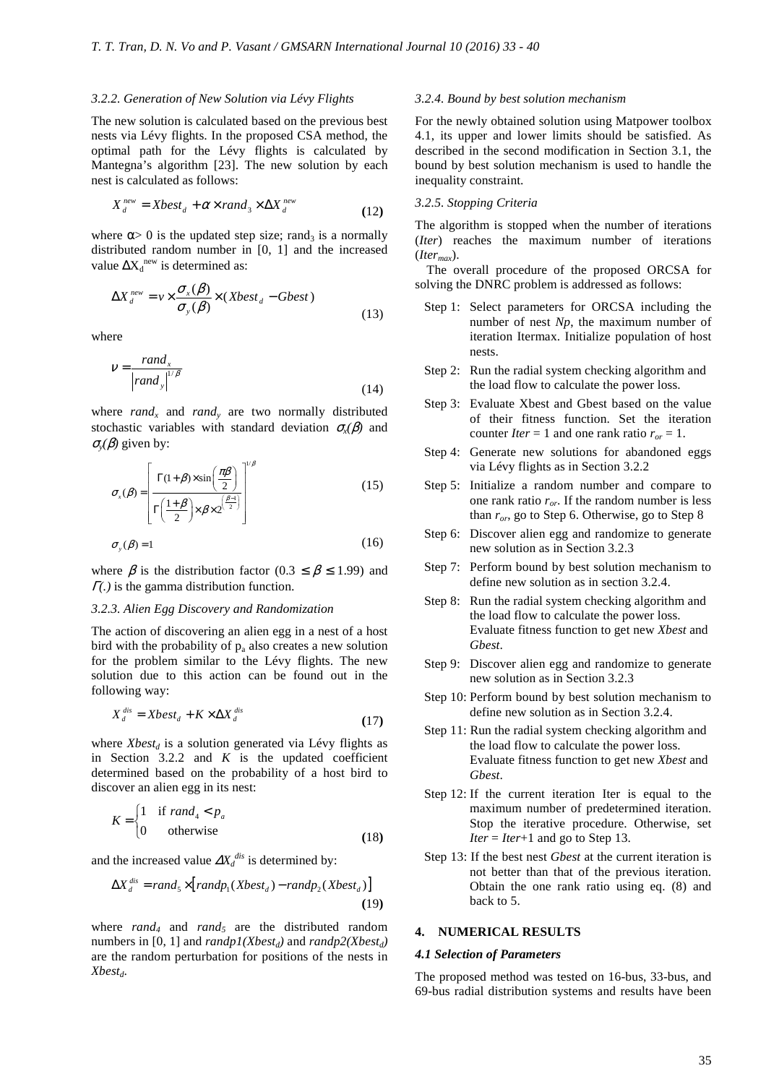#### *3.2.2. Generation of New Solution via Lévy Flights*

The new solution is calculated based on the previous best nests via Lévy flights. In the proposed CSA method, the optimal path for the Lévy flights is calculated by Mantegna's algorithm [23]. The new solution by each nest is calculated as follows:

$$
X_d^{new} = Xbest_d + \alpha \times rand_3 \times \Delta X_d^{new}
$$
 (12)

where  $\alpha$  is the updated step size; rand<sub>3</sub> is a normally distributed random number in [0, 1] and the increased value  $\Delta X_d^{\text{new}}$  is determined as:

$$
\Delta X_d^{new} = v \times \frac{\sigma_x(\beta)}{\sigma_y(\beta)} \times (Xbest_d - Gbest)
$$
\n(13)

where

$$
V = \frac{rand_x}{\left| rand_x \right|^{1/\beta}}
$$
\n(14)

where  $rand_x$  and  $rand_y$  are two normally distributed stochastic variables with standard deviation  $\sigma_x(\beta)$  and  $\sigma_{\rm v}(\beta)$  given by:

$$
\sigma_x(\beta) = \left[ \frac{\Gamma(1+\beta) \times \sin\left(\frac{\pi\beta}{2}\right)}{\Gamma\left(\frac{1+\beta}{2}\right) \times \beta \times 2^{\left(\frac{\beta-1}{2}\right)}} \right]^{1/\beta} \tag{15}
$$

$$
\sigma_{y}(\beta) = 1 \tag{16}
$$

where  $\beta$  is the distribution factor (0.3  $\leq \beta \leq$  1.99) and <sup>Γ</sup>*(.)* is the gamma distribution function.

#### *3.2.3. Alien Egg Discovery and Randomization*

The action of discovering an alien egg in a nest of a host bird with the probability of  $p_a$  also creates a new solution for the problem similar to the Lévy flights. The new solution due to this action can be found out in the following way:

$$
X_d^{dis} = Xbest_d + K \times \Delta X_d^{dis}
$$
 (17)

where *Xbestd* is a solution generated via Lévy flights as in Section  $3.2.2$  and  $K$  is the updated coefficient determined based on the probability of a host bird to discover an alien egg in its nest:

$$
K = \begin{cases} 1 & \text{if } rand_4 < p_a \\ 0 & \text{otherwise} \end{cases} \tag{18}
$$

and the increased value  $\Delta X_d^{dis}$  is determined by:

$$
\Delta X_d^{dis} = rand_s \times [randp_1(Xbest_d) - randp_2(Xbest_d)]
$$
\n(19)

where *rand4* and *rand5* are the distributed random numbers in [0, 1] and  $randp1(Xbest_d)$  and  $randp2(Xbest_d)$ are the random perturbation for positions of the nests in *Xbestd*.

#### *3.2.4. Bound by best solution mechanism*

For the newly obtained solution using Matpower toolbox 4.1, its upper and lower limits should be satisfied. As described in the second modification in Section 3.1, the bound by best solution mechanism is used to handle the inequality constraint.

#### *3.2.5. Stopping Criteria*

The algorithm is stopped when the number of iterations (*Iter*) reaches the maximum number of iterations (*Itermax*).

The overall procedure of the proposed ORCSA for solving the DNRC problem is addressed as follows:

- Step 1: Select parameters for ORCSA including the number of nest *Np*, the maximum number of iteration Itermax. Initialize population of host nests.
- Step 2: Run the radial system checking algorithm and the load flow to calculate the power loss.
- Step 3: Evaluate Xbest and Gbest based on the value of their fitness function. Set the iteration counter *Iter* = 1 and one rank ratio  $r_{or} = 1$ .
- Step 4: Generate new solutions for abandoned eggs via Lévy flights as in Section 3.2.2
- Step 5: Initialize a random number and compare to one rank ratio  $r_{or}$ . If the random number is less than *ror*, go to Step 6. Otherwise, go to Step 8
- Step 6: Discover alien egg and randomize to generate new solution as in Section 3.2.3
- Step 7: Perform bound by best solution mechanism to define new solution as in section 3.2.4.
- Step 8: Run the radial system checking algorithm and the load flow to calculate the power loss. Evaluate fitness function to get new *Xbest* and *Gbest*.
- Step 9: Discover alien egg and randomize to generate new solution as in Section 3.2.3
- Step 10: Perform bound by best solution mechanism to define new solution as in Section 3.2.4.
- Step 11: Run the radial system checking algorithm and the load flow to calculate the power loss. Evaluate fitness function to get new *Xbest* and *Gbest*.
- Step 12: If the current iteration Iter is equal to the maximum number of predetermined iteration. Stop the iterative procedure. Otherwise, set *Iter* = *Iter*+1 and go to Step 13.
- Step 13: If the best nest *Gbest* at the current iteration is not better than that of the previous iteration. Obtain the one rank ratio using eq. (8) and back to 5.

## **4. NUMERICAL RESULTS**

### *4.1 Selection of Parameters*

The proposed method was tested on 16-bus, 33-bus, and 69-bus radial distribution systems and results have been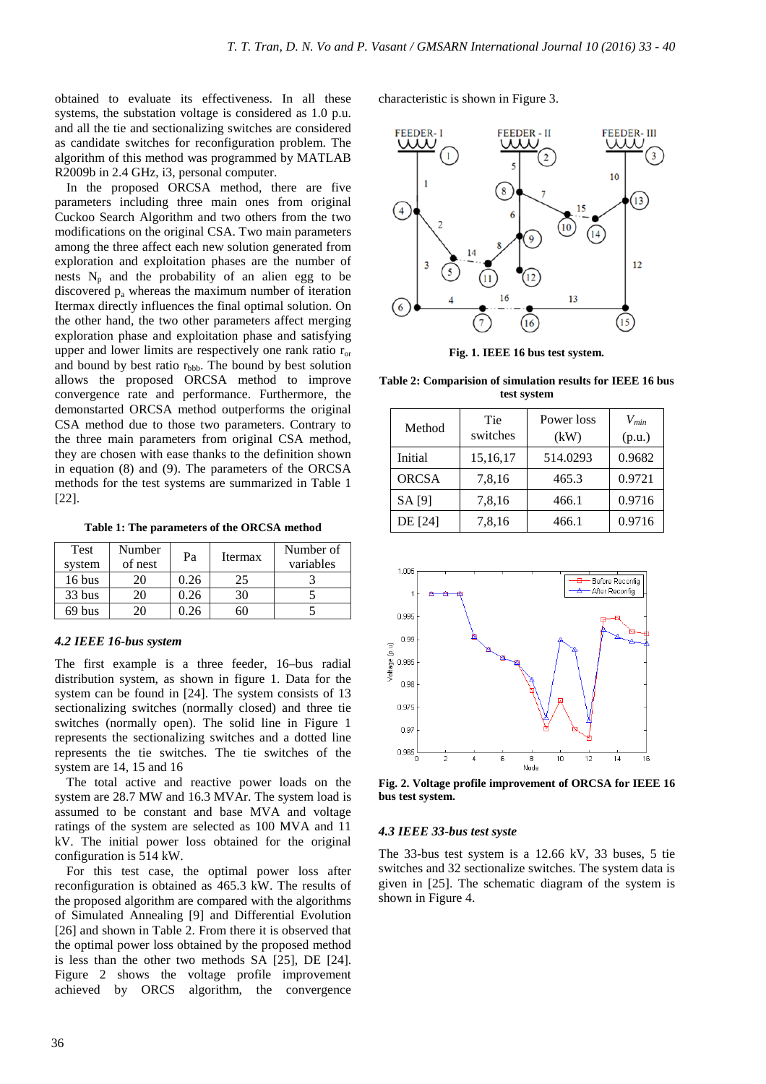obtained to evaluate its effectiveness. In all these systems, the substation voltage is considered as 1.0 p.u. and all the tie and sectionalizing switches are considered as candidate switches for reconfiguration problem. The algorithm of this method was programmed by MATLAB R2009b in 2.4 GHz, i3, personal computer.

In the proposed ORCSA method, there are five parameters including three main ones from original Cuckoo Search Algorithm and two others from the two modifications on the original CSA. Two main parameters among the three affect each new solution generated from exploration and exploitation phases are the number of nests  $N_p$  and the probability of an alien egg to be discovered  $p_a$  whereas the maximum number of iteration Itermax directly influences the final optimal solution. On the other hand, the two other parameters affect merging exploration phase and exploitation phase and satisfying upper and lower limits are respectively one rank ratio  $r_{or}$ and bound by best ratio  $r_{\text{bbb}}$ . The bound by best solution allows the proposed ORCSA method to improve convergence rate and performance. Furthermore, the demonstarted ORCSA method outperforms the original CSA method due to those two parameters. Contrary to the three main parameters from original CSA method, they are chosen with ease thanks to the definition shown in equation (8) and (9). The parameters of the ORCSA methods for the test systems are summarized in Table 1 [22].

**Table 1: The parameters of the ORCSA method** 

| Test             | Number  | Pa   | Itermax | Number of |
|------------------|---------|------|---------|-----------|
| system           | of nest |      |         | variables |
| $16 \text{ bus}$ | 20      | 0.26 | 25      |           |
| 33 bus           | 20      | 0.26 | 30      |           |
| 69 bus           | 20      | 0.26 |         |           |

### *4.2 IEEE 16-bus system*

The first example is a three feeder, 16–bus radial distribution system, as shown in figure 1. Data for the system can be found in [24]. The system consists of 13 sectionalizing switches (normally closed) and three tie switches (normally open). The solid line in Figure 1 represents the sectionalizing switches and a dotted line represents the tie switches. The tie switches of the system are 14, 15 and 16

The total active and reactive power loads on the system are 28.7 MW and 16.3 MVAr. The system load is assumed to be constant and base MVA and voltage ratings of the system are selected as 100 MVA and 11 kV. The initial power loss obtained for the original configuration is 514 kW.

For this test case, the optimal power loss after reconfiguration is obtained as 465.3 kW. The results of the proposed algorithm are compared with the algorithms of Simulated Annealing [9] and Differential Evolution [26] and shown in Table 2. From there it is observed that the optimal power loss obtained by the proposed method is less than the other two methods SA [25], DE [24]. Figure 2 shows the voltage profile improvement achieved by ORCS algorithm, the convergence

characteristic is shown in Figure 3.



**Fig. 1. IEEE 16 bus test system.** 

**Table 2: Comparision of simulation results for IEEE 16 bus test system** 

| Method       | Tie<br>switches | Power loss<br>(kW) | $V_{min}$<br>(p.u.) |
|--------------|-----------------|--------------------|---------------------|
| Initial      | 15,16,17        | 514.0293           | 0.9682              |
| <b>ORCSA</b> | 7,8,16          | 465.3              | 0.9721              |
| SA [9]       | 7,8,16          | 466.1              | 0.9716              |
| DE [24]      | 7,8,16          | 466.1              | 0.9716              |



**Fig. 2. Voltage profile improvement of ORCSA for IEEE 16 bus test system.** 

### *4.3 IEEE 33-bus test syste*

The 33-bus test system is a 12.66 kV, 33 buses, 5 tie switches and 32 sectionalize switches. The system data is given in [25]. The schematic diagram of the system is shown in Figure 4.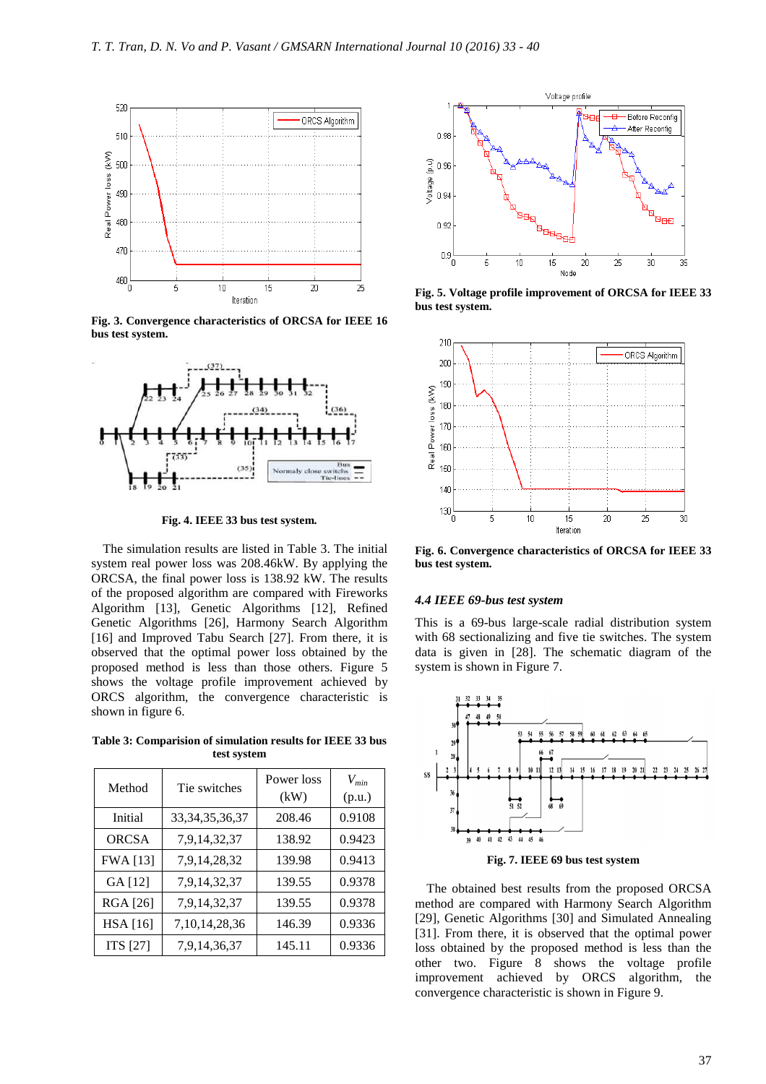

**Fig. 3. Convergence characteristics of ORCSA for IEEE 16 bus test system.** 



**Fig. 4. IEEE 33 bus test system.** 

The simulation results are listed in Table 3. The initial system real power loss was 208.46kW. By applying the ORCSA, the final power loss is 138.92 kW. The results of the proposed algorithm are compared with Fireworks Algorithm [13], Genetic Algorithms [12], Refined Genetic Algorithms [26], Harmony Search Algorithm [16] and Improved Tabu Search [27]. From there, it is observed that the optimal power loss obtained by the proposed method is less than those others. Figure 5 shows the voltage profile improvement achieved by ORCS algorithm, the convergence characteristic is shown in figure 6.

**Table 3: Comparision of simulation results for IEEE 33 bus test system** 

| Method          | Tie switches       | Power loss<br>(kW) | $V_{min}$<br>(p.u.) |
|-----------------|--------------------|--------------------|---------------------|
| Initial         | 33, 34, 35, 36, 37 | 208.46             | 0.9108              |
| <b>ORCSA</b>    | 7,9,14,32,37       | 138.92             | 0.9423              |
| <b>FWA</b> [13] | 7,9,14,28,32       | 139.98             | 0.9413              |
| GA [12]         | 7,9,14,32,37       | 139.55             | 0.9378              |
| <b>RGA</b> [26] | 7,9,14,32,37       | 139.55             | 0.9378              |
| <b>HSA</b> [16] | 7,10,14,28,36      | 146.39             | 0.9336              |
| <b>ITS</b> [27] | 7,9,14,36,37       | 145.11             | 0.9336              |



**Fig. 5. Voltage profile improvement of ORCSA for IEEE 33 bus test system.** 



**Fig. 6. Convergence characteristics of ORCSA for IEEE 33 bus test system.** 

# *4.4 IEEE 69-bus test system*

This is a 69-bus large-scale radial distribution system with 68 sectionalizing and five tie switches. The system data is given in [28]. The schematic diagram of the system is shown in Figure 7.



**Fig. 7. IEEE 69 bus test system**

The obtained best results from the proposed ORCSA method are compared with Harmony Search Algorithm [29], Genetic Algorithms [30] and Simulated Annealing [31]. From there, it is observed that the optimal power loss obtained by the proposed method is less than the other two. Figure 8 shows the voltage profile improvement achieved by ORCS algorithm, the convergence characteristic is shown in Figure 9.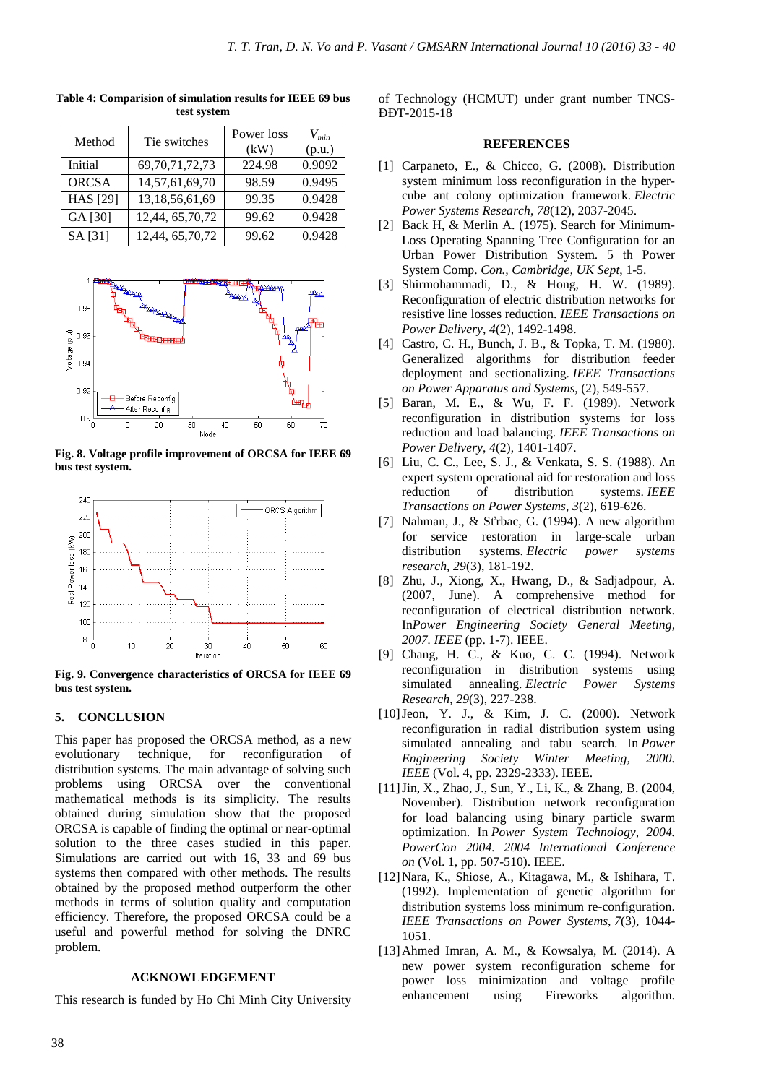| Method          | Tie switches       | Power loss<br>(kW) | $V_{min}$<br>(p.u.) |
|-----------------|--------------------|--------------------|---------------------|
| Initial         | 69, 70, 71, 72, 73 | 224.98             | 0.9092              |
| <b>ORCSA</b>    | 14,57,61,69,70     | 98.59              | 0.9495              |
| <b>HAS</b> [29] | 13,18,56,61,69     | 99.35              | 0.9428              |
| GA [30]         | 12,44, 65,70,72    | 99.62              | 0.9428              |
| SA [31]         | 12,44, 65,70,72    | 99.62              | 0.9428              |

**Table 4: Comparision of simulation results for IEEE 69 bus test system** 



**Fig. 8. Voltage profile improvement of ORCSA for IEEE 69 bus test system.** 



**Fig. 9. Convergence characteristics of ORCSA for IEEE 69 bus test system.**

# **5. CONCLUSION**

This paper has proposed the ORCSA method, as a new evolutionary technique, for reconfiguration of distribution systems. The main advantage of solving such problems using ORCSA over the conventional mathematical methods is its simplicity. The results obtained during simulation show that the proposed ORCSA is capable of finding the optimal or near-optimal solution to the three cases studied in this paper. Simulations are carried out with 16, 33 and 69 bus systems then compared with other methods. The results obtained by the proposed method outperform the other methods in terms of solution quality and computation efficiency. Therefore, the proposed ORCSA could be a useful and powerful method for solving the DNRC problem.

# **ACKNOWLEDGEMENT**

This research is funded by Ho Chi Minh City University

of Technology (HCMUT) under grant number TNCS-ĐĐT-2015-18

### **REFERENCES**

- [1] Carpaneto, E., & Chicco, G. (2008). Distribution system minimum loss reconfiguration in the hypercube ant colony optimization framework. *Electric Power Systems Research*, *78*(12), 2037-2045.
- [2] Back H, & Merlin A. (1975). Search for Minimum-Loss Operating Spanning Tree Configuration for an Urban Power Distribution System. 5 th Power System Comp. *Con., Cambridge, UK Sept*, 1-5.
- [3] Shirmohammadi, D., & Hong, H. W. (1989). Reconfiguration of electric distribution networks for resistive line losses reduction. *IEEE Transactions on Power Delivery*, *4*(2), 1492-1498.
- [4] Castro, C. H., Bunch, J. B., & Topka, T. M. (1980). Generalized algorithms for distribution feeder deployment and sectionalizing. *IEEE Transactions on Power Apparatus and Systems*, (2), 549-557.
- [5] Baran, M. E., & Wu, F. F. (1989). Network reconfiguration in distribution systems for loss reduction and load balancing. *IEEE Transactions on Power Delivery*, *4*(2), 1401-1407.
- [6] Liu, C. C., Lee, S. J., & Venkata, S. S. (1988). An expert system operational aid for restoration and loss reduction of distribution systems. *IEEE Transactions on Power Systems*, *3*(2), 619-626.
- [7] Nahman, J., & Sťrbac, G. (1994). A new algorithm for service restoration in large-scale urban distribution systems. *Electric power systems research*, *29*(3), 181-192.
- [8] Zhu, J., Xiong, X., Hwang, D., & Sadjadpour, A. (2007, June). A comprehensive method for reconfiguration of electrical distribution network. In*Power Engineering Society General Meeting, 2007. IEEE* (pp. 1-7). IEEE.
- [9] Chang, H. C., & Kuo, C. C. (1994). Network reconfiguration in distribution systems using simulated annealing. *Electric Power Systems Research*, *29*(3), 227-238.
- [10]Jeon, Y. J., & Kim, J. C. (2000). Network reconfiguration in radial distribution system using simulated annealing and tabu search. In *Power Engineering Society Winter Meeting, 2000. IEEE* (Vol. 4, pp. 2329-2333). *IEEE*.
- [11]Jin, X., Zhao, J., Sun, Y., Li, K., & Zhang, B. (2004, November). Distribution network reconfiguration for load balancing using binary particle swarm optimization. In *Power System Technology, 2004. PowerCon 2004. 2004 International Conference on* (Vol. 1, pp. 507-510). IEEE.
- [12]Nara, K., Shiose, A., Kitagawa, M., & Ishihara, T. (1992). Implementation of genetic algorithm for distribution systems loss minimum re-configuration. *IEEE Transactions on Power Systems*, *7*(3), 1044- 1051.
- [13]Ahmed Imran, A. M., & Kowsalya, M. (2014). A new power system reconfiguration scheme for power loss minimization and voltage profile enhancement using Fireworks algorithm.